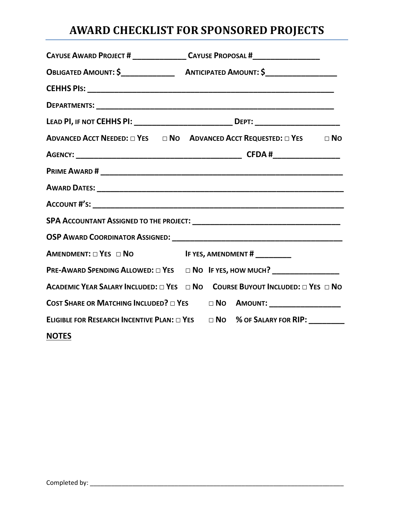# **AWARD CHECKLIST FOR SPONSORED PROJECTS**

|                                                    | CAYUSE AWARD PROJECT # _________________CAYUSE PROPOSAL #_______________________         |
|----------------------------------------------------|------------------------------------------------------------------------------------------|
|                                                    |                                                                                          |
|                                                    |                                                                                          |
|                                                    |                                                                                          |
|                                                    | LEAD PI, IF NOT CEHHS PI: _______________________________ DEPT: _________________        |
|                                                    | ADVANCED ACCT NEEDED: $\Box$ YES $\Box$ NO ADVANCED ACCT REQUESTED: $\Box$ YES $\Box$ NO |
|                                                    |                                                                                          |
|                                                    |                                                                                          |
|                                                    |                                                                                          |
|                                                    |                                                                                          |
|                                                    |                                                                                          |
|                                                    |                                                                                          |
| AMENDMENT: □ YES □ NO IF YES, AMENDMENT # ________ |                                                                                          |
|                                                    | PRE-AWARD SPENDING ALLOWED: □ YES □ NO IF YES, HOW MUCH? __________________              |
|                                                    | ACADEMIC YEAR SALARY INCLUDED: □ YES □ NO COURSE BUYOUT INCLUDED: □ YES □ NO             |
|                                                    | COST SHARE OR MATCHING INCLUDED? $\Box$ Yes $\Box$ No Amount: __________________         |
|                                                    | ELIGIBLE FOR RESEARCH INCENTIVE PLAN: $\Box$ YES $\Box$ NO % OF SALARY FOR RIP: ________ |
| <b>NOTES</b>                                       |                                                                                          |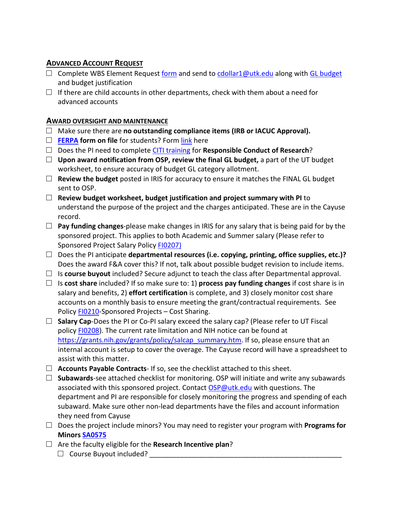# **ADVANCED ACCOUNT REQUEST**

- $\square$  Complete WBS Element Request [form](http://controller.finance.tennessee.edu/wp-content/uploads/sites/7/2017/03/Request-for-WBS-Elements-Sponsored-Projects.pdf) and send t[o cdollar1@utk.edu](mailto:cdollar1@utk.edu) along with [GL budget](http://osp.utk.edu/wp-content/uploads/sites/49/2017/03/GL-workbook_3-30-17.xls) and budget justification
- $\Box$  If there are child accounts in other departments, check with them about a need for advanced accounts

## **AWARD OVERSIGHT AND MAINTENANCE**

- □ Make sure there are **no outstanding compliance items (IRB or IACUC Approval).**
- □ **[FERPA](https://ferpa.utk.edu/) form on file** for students? Form [link](http://ferpa.utk.edu/wp-content/uploads/sites/45/2016/03/StdInfoRelFrmforSPA-_2_.pdf) here
- □ Does the PI need to complete [CITI training](https://www.citiprogram.org/) for **Responsible Conduct of Research**?
- □ **Upon award notification from OSP, review the final GL budget,** a part of the UT budget worksheet, to ensure accuracy of budget GL category allotment.
- $\Box$  **Review the budget** posted in IRIS for accuracy to ensure it matches the FINAL GL budget sent to OSP.
- □ **Review budget worksheet, budget justification and project summary with PI** to understand the purpose of the project and the charges anticipated. These are in the Cayuse record.
- □ **Pay funding changes-**please make changes in IRIS for any salary that is being paid for by the sponsored project. This applies to both Academic and Summer salary (Please refer to Sponsored Project Salary Policy [FI0207\)](https://universitytennessee.policytech.com/dotNet/documents/?docid=397&public=true)
- □ Does the PI anticipate **departmental resources (i.e. copying, printing, office supplies, etc.)?** Does the award F&A cover this? If not, talk about possible budget revision to include items.
- $\Box$  Is **course buyout** included? Secure adjunct to teach the class after Departmental approval.
- □ Is **cost share** included? If so make sure to: 1) **process pay funding changes** if cost share is in salary and benefits, 2) **effort certification** is complete, and 3) closely monitor cost share accounts on a monthly basis to ensure meeting the grant/contractual requirements. See Policy [FI0210-](https://universitytennessee.policytech.com/dotNet/documents/?docid=49&public=true)Sponsored Projects – Cost Sharing.
- □ **Salary Cap**-Does the PI or Co-PI salary exceed the salary cap? (Please refer to UT Fiscal policy [FI0208\)](https://universitytennessee.policytech.com/dotNet/documents/?docid=48&public=true). The current rate limitation and NIH notice can be found at [https://grants.nih.gov/grants/policy/salcap\\_summary.htm.](https://grants.nih.gov/grants/policy/salcap_summary.htm) If so, please ensure that an internal account is setup to cover the overage. The Cayuse record will have a spreadsheet to assist with this matter.
- □ **Accounts Payable Contracts** If so, see the checklist attached to this sheet.
- □ **Subawards**-see attached checklist for monitoring. OSP will initiate and write any subawards associated with this sponsored project. Contact [OSP@utk.edu](mailto:OSP@utk.edu) with questions. The department and PI are responsible for closely monitoring the progress and spending of each subaward. Make sure other non-lead departments have the files and account information they need from Cayuse
- □ Does the project include minors? You may need to register your program with **Programs for Minors [SA0575](https://universitytennessee.policytech.com/dotNet/documents/?docid=704&public=true)**
- □ Are the faculty eligible for the **Research Incentive plan**?  $\Box$  Course Buyout included?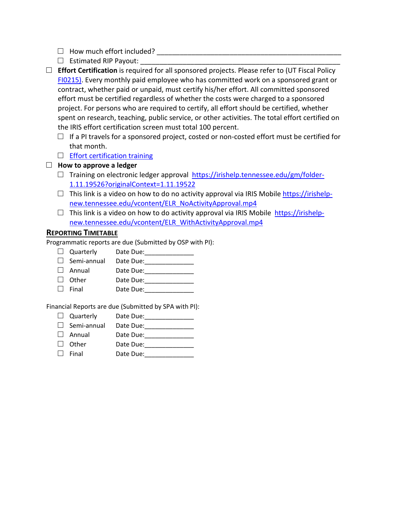- □ How much effort included? \_\_\_\_\_\_\_\_\_\_\_\_\_\_\_\_\_\_\_\_\_\_\_\_\_\_\_\_\_\_\_\_\_\_\_\_\_\_\_\_\_\_\_\_\_\_\_\_
- $\Box$  Estimated RIP Payout:
- □ **Effort Certification** is required for all sponsored projects. Please refer to (UT Fiscal Policy [FI0215\).](https://universitytennessee.policytech.com/dotNet/documents/?docid=398&public=true) Every monthly paid employee who has committed work on a sponsored grant or contract, whether paid or unpaid, must certify his/her effort. All committed sponsored effort must be certified regardless of whether the costs were charged to a sponsored project. For persons who are required to certify, all effort should be certified, whether spent on research, teaching, public service, or other activities. The total effort certified on the IRIS effort certification screen must total 100 percent.
	- $\Box$  If a PI travels for a sponsored project, costed or non-costed effort must be certified for that month.
	- $\Box$  [Effort certification training](https://irishelp.tennessee.edu/gm/folder-1.11.17649?originalContext=1.11.14839)

#### □ **How to approve a ledger**

- $\Box$  Training on electronic ledger approval [https://irishelp.tennessee.edu/gm/folder-](https://irishelp.tennessee.edu/gm/folder-1.11.19526?originalContext=1.11.19522)[1.11.19526?originalContext=1.11.19522](https://irishelp.tennessee.edu/gm/folder-1.11.19526?originalContext=1.11.19522)
- $\square$  This link is a video on how to do no activity approval via IRIS Mobile [https://irishelp](https://irishelp-new.tennessee.edu/vcontent/ELR_NoActivityApproval.mp4)[new.tennessee.edu/vcontent/ELR\\_NoActivityApproval.mp4](https://irishelp-new.tennessee.edu/vcontent/ELR_NoActivityApproval.mp4)
- $\square$  This link is a video on how to do activity approval via IRIS Mobile [https://irishelp](https://irishelp-new.tennessee.edu/vcontent/ELR_WithActivityApproval.mp4)[new.tennessee.edu/vcontent/ELR\\_WithActivityApproval.mp4](https://irishelp-new.tennessee.edu/vcontent/ELR_WithActivityApproval.mp4)

#### **REPORTING TIMETABLE**

Programmatic reports are due (Submitted by OSP with PI):

- □ Quarterly Date Due:\_\_\_\_\_\_\_\_\_\_\_\_\_\_
- $\Box$  Semi-annual Date Due:<br>  $\Box$  Annual Date Due:
- □ Annual Date Due:\_\_\_\_\_\_\_\_\_\_\_\_\_\_
- □ Other Date Due:\_\_\_\_\_\_\_\_\_\_\_\_\_\_
- Date Due:

Financial Reports are due (Submitted by SPA with PI):

- 
- $\Box$  Quarterly Date Due:<br> $\Box$  Semi-annual Date Due: □ Semi-annual Date Due:<br>□ Annual Date Due:
- □ Annual Date Due:\_\_\_\_\_\_\_\_\_\_\_\_\_\_
- $\Box$  Other Date Due: \_\_\_\_\_\_\_\_\_\_\_\_\_\_\_<br> $\Box$  Final Date Due:
- □ Final Date Due:\_\_\_\_\_\_\_\_\_\_\_\_\_\_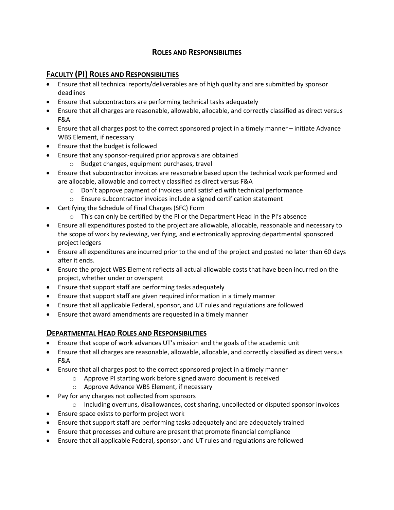### **ROLES AND RESPONSIBILITIES**

# **FACULTY (PI) ROLES AND RESPONSIBILITIES**

- Ensure that all technical reports/deliverables are of high quality and are submitted by sponsor deadlines
- Ensure that subcontractors are performing technical tasks adequately
- Ensure that all charges are reasonable, allowable, allocable, and correctly classified as direct versus F&A
- Ensure that all charges post to the correct sponsored project in a timely manner initiate Advance WBS Element, if necessary
- Ensure that the budget is followed
- Ensure that any sponsor-required prior approvals are obtained
	- o Budget changes, equipment purchases, travel
- Ensure that subcontractor invoices are reasonable based upon the technical work performed and are allocable, allowable and correctly classified as direct versus F&A
	- $\circ$  Don't approve payment of invoices until satisfied with technical performance
	- o Ensure subcontractor invoices include a signed certification statement
- Certifying the Schedule of Final Charges (SFC) Form
	- $\circ$  This can only be certified by the PI or the Department Head in the PI's absence
- Ensure all expenditures posted to the project are allowable, allocable, reasonable and necessary to the scope of work by reviewing, verifying, and electronically approving departmental sponsored project ledgers
- Ensure all expenditures are incurred prior to the end of the project and posted no later than 60 days after it ends.
- Ensure the project WBS Element reflects all actual allowable costs that have been incurred on the project, whether under or overspent
- Ensure that support staff are performing tasks adequately
- Ensure that support staff are given required information in a timely manner
- Ensure that all applicable Federal, sponsor, and UT rules and regulations are followed
- Ensure that award amendments are requested in a timely manner

#### **DEPARTMENTAL HEAD ROLES AND RESPONSIBILITIES**

- Ensure that scope of work advances UT's mission and the goals of the academic unit
- Ensure that all charges are reasonable, allowable, allocable, and correctly classified as direct versus F&A
- Ensure that all charges post to the correct sponsored project in a timely manner
	- o Approve PI starting work before signed award document is received
	- o Approve Advance WBS Element, if necessary
- Pay for any charges not collected from sponsors
	- o Including overruns, disallowances, cost sharing, uncollected or disputed sponsor invoices
- Ensure space exists to perform project work
- Ensure that support staff are performing tasks adequately and are adequately trained
- Ensure that processes and culture are present that promote financial compliance
- Ensure that all applicable Federal, sponsor, and UT rules and regulations are followed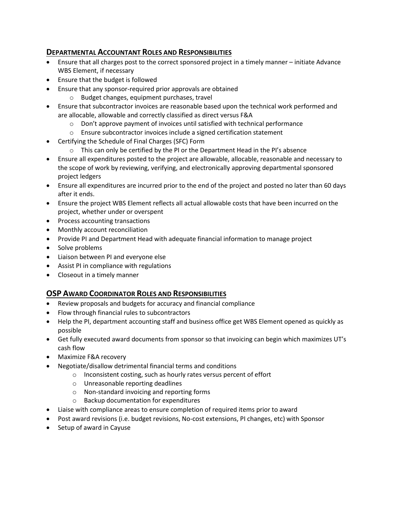# **DEPARTMENTAL ACCOUNTANT ROLES AND RESPONSIBILITIES**

- Ensure that all charges post to the correct sponsored project in a timely manner initiate Advance WBS Element, if necessary
- Ensure that the budget is followed
- Ensure that any sponsor-required prior approvals are obtained
	- o Budget changes, equipment purchases, travel
- Ensure that subcontractor invoices are reasonable based upon the technical work performed and are allocable, allowable and correctly classified as direct versus F&A
	- $\circ$  Don't approve payment of invoices until satisfied with technical performance
	- o Ensure subcontractor invoices include a signed certification statement
- Certifying the Schedule of Final Charges (SFC) Form
	- $\circ$  This can only be certified by the PI or the Department Head in the PI's absence
- Ensure all expenditures posted to the project are allowable, allocable, reasonable and necessary to the scope of work by reviewing, verifying, and electronically approving departmental sponsored project ledgers
- Ensure all expenditures are incurred prior to the end of the project and posted no later than 60 days after it ends.
- Ensure the project WBS Element reflects all actual allowable costs that have been incurred on the project, whether under or overspent
- Process accounting transactions
- Monthly account reconciliation
- Provide PI and Department Head with adequate financial information to manage project
- Solve problems
- Liaison between PI and everyone else
- Assist PI in compliance with regulations
- Closeout in a timely manner

#### **OSP AWARD COORDINATOR ROLES AND RESPONSIBILITIES**

- Review proposals and budgets for accuracy and financial compliance
- Flow through financial rules to subcontractors
- Help the PI, department accounting staff and business office get WBS Element opened as quickly as possible
- Get fully executed award documents from sponsor so that invoicing can begin which maximizes UT's cash flow
- Maximize F&A recovery
- Negotiate/disallow detrimental financial terms and conditions
	- o Inconsistent costing, such as hourly rates versus percent of effort
	- o Unreasonable reporting deadlines
	- o Non-standard invoicing and reporting forms
	- o Backup documentation for expenditures
- Liaise with compliance areas to ensure completion of required items prior to award
- Post award revisions (i.e. budget revisions, No-cost extensions, PI changes, etc) with Sponsor
- Setup of award in Cayuse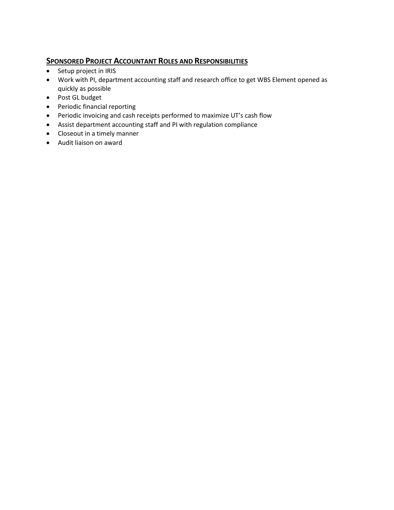# **SPONSORED PROJECT ACCOUNTANT ROLES AND RESPONSIBILITIES**

- Setup project in IRIS
- Work with PI, department accounting staff and research office to get WBS Element opened as quickly as possible
- Post GL budget
- Periodic financial reporting
- Periodic invoicing and cash receipts performed to maximize UT's cash flow
- Assist department accounting staff and PI with regulation compliance
- Closeout in a timely manner
- Audit liaison on award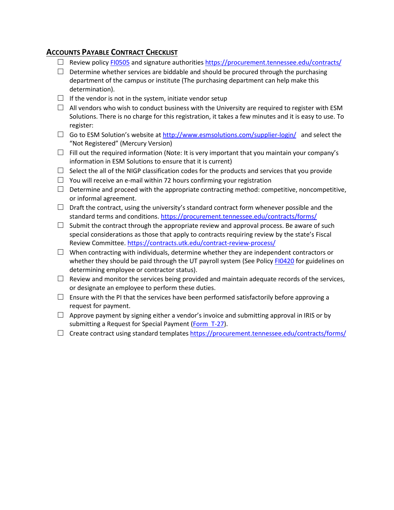# **ACCOUNTS PAYABLE CONTRACT CHECKLIST**

- □ Review policy [FI0505](https://universitytennessee.policytech.com/dotNet/documents/?docid=724&public=true) and signature authorities<https://procurement.tennessee.edu/contracts/>
- $\Box$  Determine whether services are biddable and should be procured through the purchasing department of the campus or institute (The purchasing department can help make this determination).
- $\Box$  If the vendor is not in the system, initiate vendor setup
- $\Box$  All vendors who wish to conduct business with the University are required to register with ESM Solutions. There is no charge for this registration, it takes a few minutes and it is easy to use. To register:
- $\Box$  Go to ESM Solution's website at<http://www.esmsolutions.com/supplier-login/>and select the "Not Registered" (Mercury Version)
- $\Box$  Fill out the required information (Note: It is very important that you maintain your company's information in ESM Solutions to ensure that it is current)
- $\Box$  Select the all of the NIGP classification codes for the products and services that you provide
- $\Box$  You will receive an e-mail within 72 hours confirming your registration
- $\Box$  Determine and proceed with the appropriate contracting method: competitive, noncompetitive, or informal agreement.
- $\Box$  Draft the contract, using the university's standard contract form whenever possible and the standard terms and conditions.<https://procurement.tennessee.edu/contracts/forms/>
- $\square$  Submit the contract through the appropriate review and approval process. Be aware of such special considerations as those that apply to contracts requiring review by the state's Fiscal Review Committee.<https://contracts.utk.edu/contract-review-process/>
- $\square$  When contracting with individuals, determine whether they are independent contractors or whether they should be paid through the UT payroll system (See Policy [FI0420](https://universitytennessee.policytech.com/dotNet/documents/?docid=736&public=true) for guidelines on determining employee or contractor status).
- $\Box$  Review and monitor the services being provided and maintain adequate records of the services, or designate an employee to perform these duties.
- $\square$  Ensure with the PI that the services have been performed satisfactorily before approving a request for payment.
- $\Box$  Approve payment by signing either a vendor's invoice and submitting approval in IRIS or by submitting a Request for Special Payment [\(Form T-27\)](finance.tennessee.edu/wp-content/uploads/forms/T-27.pdf).
- □ Create contract using standard templates <https://procurement.tennessee.edu/contracts/forms/>